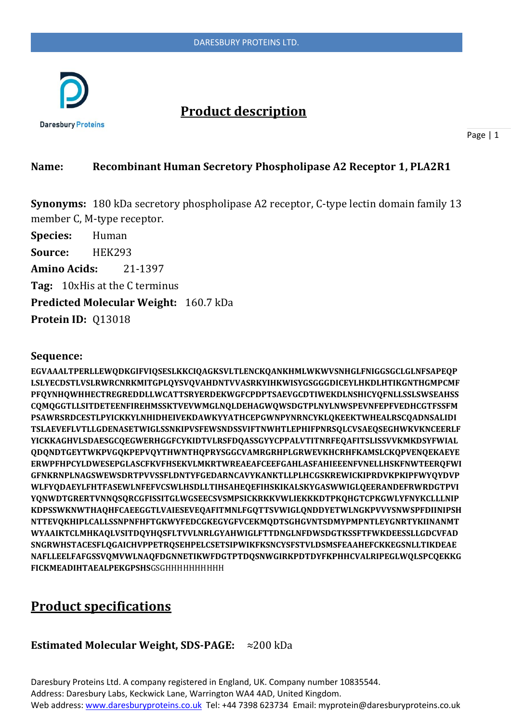

## **Product description**

Page | 1

### **Name: Recombinant Human Secretory Phospholipase A2 Receptor 1, PLA2R1**

**Synonyms:** 180 kDa secretory phospholipase A2 receptor, C-type lectin domain family 13 member C, M-type receptor.

**Species:** Human **Source:** HEK293 **Amino Acids:** 21-1397 **Tag:** 10xHis at the C terminus **Predicted Molecular Weight:** 160.7 kDa **Protein ID:** Q13018

#### **Sequence:**

**EGVAAALTPERLLEWQDKGIFVIQSESLKKCIQAGKSVLTLENCKQANKHMLWKWVSNHGLFNIGGSGCLGLNFSAPEQP LSLYECDSTLVSLRWRCNRKMITGPLQYSVQVAHDNTVVASRKYIHKWISYGSGGGDICEYLHKDLHTIKGNTHGMPCMF PFQYNHQWHHECTREGREDDLLWCATTSRYERDEKWGFCPDPTSAEVGCDTIWEKDLNSHICYQFNLLSSLSWSEAHSS CQMQGGTLLSITDETEENFIREHMSSKTVEVWMGLNQLDEHAGWQWSDGTPLNYLNWSPEVNFEPFVEDHCGTFSSFM PSAWRSRDCESTLPYICKKYLNHIDHEIVEKDAWKYYATHCEPGWNPYNRNCYKLQKEEKTWHEALRSCQADNSALIDI TSLAEVEFLVTLLGDENASETWIGLSSNKIPVSFEWSNDSSVIFTNWHTLEPHIFPNRSQLCVSAEQSEGHWKVKNCEERLF YICKKAGHVLSDAESGCQEGWERHGGFCYKIDTVLRSFDQASSGYYCPPALVTITNRFEQAFITSLISSVVKMKDSYFWIAL QDQNDTGEYTWKPVGQKPEPVQYTHWNTHQPRYSGGCVAMRGRHPLGRWEVKHCRHFKAMSLCKQPVENQEKAEYE ERWPFHPCYLDWESEPGLASCFKVFHSEKVLMKRTWREAEAFCEEFGAHLASFAHIEEENFVNELLHSKFNWTEERQFWI GFNKRNPLNAGSWEWSDRTPVVSSFLDNTYFGEDARNCAVYKANKTLLPLHCGSKREWICKIPRDVKPKIPFWYQYDVP WLFYQDAEYLFHTFASEWLNFEFVCSWLHSDLLTIHSAHEQEFIHSKIKALSKYGASWWIGLQEERANDEFRWRDGTPVI YQNWDTGRERTVNNQSQRCGFISSITGLWGSEECSVSMPSICKRKKVWLIEKKKDTPKQHGTCPKGWLYFNYKCLLLNIP KDPSSWKNWTHAQHFCAEEGGTLVAIESEVEQAFITMNLFGQTTSVWIGLQNDDYETWLNGKPVVYSNWSPFDIINIPSH NTTEVQKHIPLCALLSSNPNFHFTGKWYFEDCGKEGYGFVCEKMQDTSGHGVNTSDMYPMPNTLEYGNRTYKIINANMT WYAAIKTCLMHKAQLVSITDQYHQSFLTVVLNRLGYAHWIGLFTTDNGLNFDWSDGTKSSFTFWKDEESSLLGDCVFAD SNGRWHSTACESFLQGAICHVPPETRQSEHPELCSETSIPWIKFKSNCYSFSTVLDSMSFEAAHEFCKKEGSNLLTIKDEAE NAFLLEELFAFGSSVQMVWLNAQFDGNNETIKWFDGTPTDQSNWGIRKPDTDYFKPHHCVALRIPEGLWQLSPCQEKKG FICKMEADIHTAEALPEKGPSHS**GSGHHHHHHHHHH

## **Product specifications**

#### **Estimated Molecular Weight, SDS-PAGE:** ≈200 kDa

Daresbury Proteins Ltd. A company registered in England, UK. Company number 10835544. Address: Daresbury Labs, Keckwick Lane, Warrington WA4 4AD, United Kingdom. Web address[: www.daresburyproteins.co.uk](http://www.daresburyproteins.co.uk/) Tel: +44 7398 623734 Email: myprotein@daresburyproteins.co.uk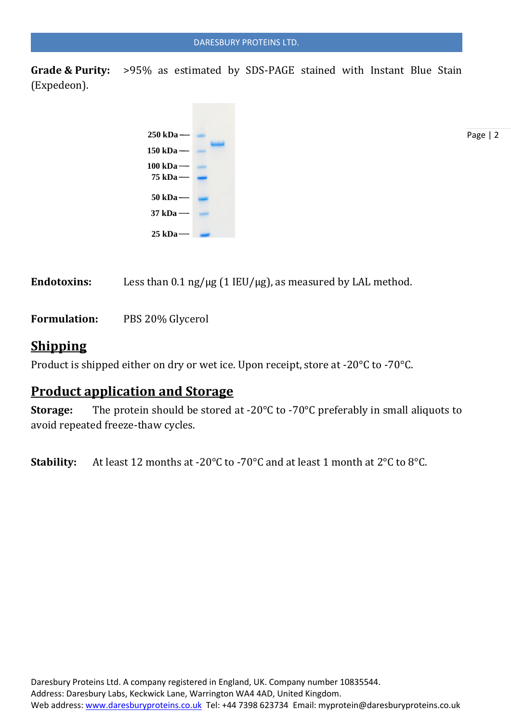**Grade & Purity:** >95% as estimated by SDS-PAGE stained with Instant Blue Stain (Expedeon).



Page | 2

Endotoxins: Less than  $0.1$  ng/ $\mu$ g (1 IEU/ $\mu$ g), as measured by LAL method.

**Formulation:** PBS 20% Glycerol

### **Shipping**

Product is shipped either on dry or wet ice. Upon receipt, store at -20°C to -70°C.

## **Product application and Storage**

**Storage:** The protein should be stored at -20°C to -70°C preferably in small aliquots to avoid repeated freeze-thaw cycles.

**Stability:** At least 12 months at -20°C to -70°C and at least 1 month at 2°C to 8°C.